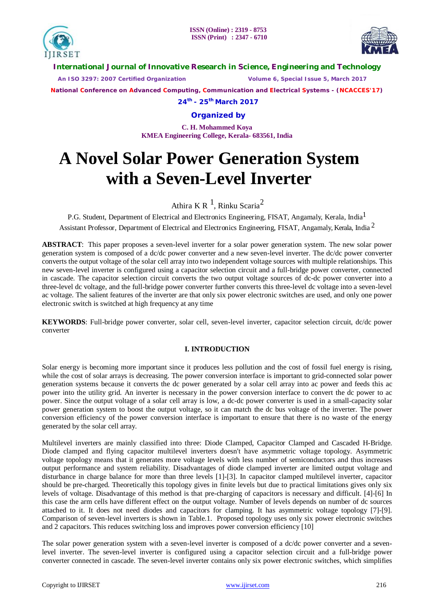



**International Journal of Innovative Research in Science, Engineering and Technology**

 *An ISO 3297: 2007 Certified Organization Volume 6, Special Issue 5, March 2017*

**National Conference on Advanced Computing, Communication and Electrical Systems - (NCACCES'17)**

**24th - 25th March 2017**

**Organized by**

**C. H. Mohammed Koya KMEA Engineering College, Kerala- 683561, India** 

# **A Novel Solar Power Generation System with a Seven-Level Inverter**

Athira K R  $<sup>1</sup>$ , Rinku Scaria<sup>2</sup></sup>

P.G. Student, Department of Electrical and Electronics Engineering, FISAT, Angamaly, Kerala, India $^1$ 

Assistant Professor, Department of Electrical and Electronics Engineering, FISAT, Angamaly, Kerala, India<sup>2</sup>

**ABSTRACT**: This paper proposes a seven-level inverter for a solar power generation system. The new solar power generation system is composed of a dc/dc power converter and a new seven-level inverter. The dc/dc power converter converts the output voltage of the solar cell array into two independent voltage sources with multiple relationships. This new seven-level inverter is configured using a capacitor selection circuit and a full-bridge power converter, connected in cascade. The capacitor selection circuit converts the two output voltage sources of dc-dc power converter into a three-level dc voltage, and the full-bridge power converter further converts this three-level dc voltage into a seven-level ac voltage. The salient features of the inverter are that only six power electronic switches are used, and only one power electronic switch is switched at high frequency at any time

**KEYWORDS**: Full-bridge power converter, solar cell, seven-level inverter, capacitor selection circuit, dc/dc power converter

# **I. INTRODUCTION**

Solar energy is becoming more important since it produces less pollution and the cost of fossil fuel energy is rising, while the cost of solar arrays is decreasing. The power conversion interface is important to grid-connected solar power generation systems because it converts the dc power generated by a solar cell array into ac power and feeds this ac power into the utility grid. An inverter is necessary in the power conversion interface to convert the dc power to ac power. Since the output voltage of a solar cell array is low, a dc-dc power converter is used in a small-capacity solar power generation system to boost the output voltage, so it can match the dc bus voltage of the inverter. The power conversion efficiency of the power conversion interface is important to ensure that there is no waste of the energy generated by the solar cell array.

Multilevel inverters are mainly classified into three: Diode Clamped, Capacitor Clamped and Cascaded H-Bridge. Diode clamped and flying capacitor multilevel inverters doesn't have asymmetric voltage topology. Asymmetric voltage topology means that it generates more voltage levels with less number of semiconductors and thus increases output performance and system reliability. Disadvantages of diode clamped inverter are limited output voltage and disturbance in charge balance for more than three levels [1]-[3]. In capacitor clamped multilevel inverter, capacitor should be pre-charged. Theoretically this topology gives in finite levels but due to practical limitations gives only six levels of voltage. Disadvantage of this method is that pre-charging of capacitors is necessary and difficult. [4]-[6] In this case the arm cells have different effect on the output voltage. Number of levels depends on number of dc sources attached to it. It does not need diodes and capacitors for clamping. It has asymmetric voltage topology [7]-[9]. Comparison of seven-level inverters is shown in Table.1. Proposed topology uses only six power electronic switches and 2 capacitors. This reduces switching loss and improves power conversion efficiency [10]

The solar power generation system with a seven-level inverter is composed of a dc/dc power converter and a sevenlevel inverter. The seven-level inverter is configured using a capacitor selection circuit and a full-bridge power converter connected in cascade. The seven-level inverter contains only six power electronic switches, which simplifies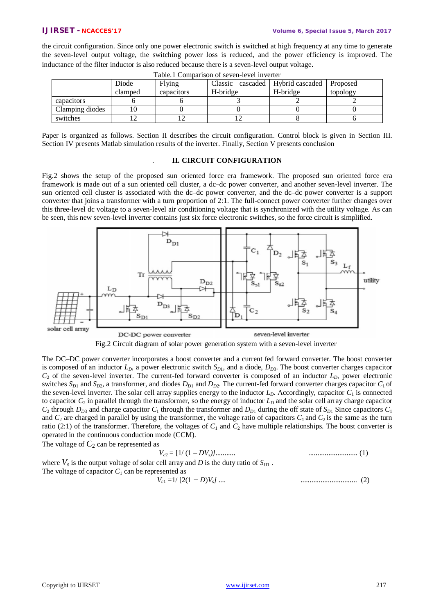the circuit configuration. Since only one power electronic switch is switched at high frequency at any time to generate the seven-level output voltage, the switching power loss is reduced, and the power efficiency is improved. The inductance of the filter inductor is also reduced because there is a seven-level output voltage.

| 1 WOIVII OUIIIDWLIDOIL OI DV I VII IV I VI III I VI VVI |         |            |          |                            |          |
|---------------------------------------------------------|---------|------------|----------|----------------------------|----------|
|                                                         | Diode   | Flying     | Classic  | cascaded   Hybrid cascaded | Proposed |
|                                                         | clamped | capacitors | H-bridge | H-bridge                   | topology |
| capacitors                                              |         |            |          |                            |          |
| Clamping diodes                                         |         |            |          |                            |          |
| switches                                                |         |            |          |                            |          |

Table.1 Comparison of seven-level inverter

Paper is organized as follows. Section II describes the circuit configuration. Control block is given in Section III. Section IV presents Matlab simulation results of the inverter. Finally, Section V presents conclusion

# . **II. CIRCUIT CONFIGURATION**

Fig.2 shows the setup of the proposed sun oriented force era framework. The proposed sun oriented force era framework is made out of a sun oriented cell cluster, a dc–dc power converter, and another seven-level inverter. The sun oriented cell cluster is associated with the dc–dc power converter, and the dc–dc power converter is a support converter that joins a transformer with a turn proportion of 2:1. The full-connect power converter further changes over this three-level dc voltage to a seven-level air conditioning voltage that is synchronized with the utility voltage. As can be seen, this new seven-level inverter contains just six force electronic switches, so the force circuit is simplified.





The DC–DC power converter incorporates a boost converter and a current fed forward converter. The boost converter is composed of an inductor  $L<sub>D</sub>$ , a power electronic switch  $S<sub>D1</sub>$ , and a diode,  $D<sub>D3</sub>$ . The boost converter charges capacitor  $C_2$  of the seven-level inverter. The current-fed forward converter is composed of an inductor  $L<sub>D</sub>$ , power electronic switches  $S_{D1}$  and  $S_{D2}$ , a transformer, and diodes  $D_{D1}$  and  $D_{D2}$ . The current-fed forward converter charges capacitor  $C_1$  of the seven-level inverter. The solar cell array supplies energy to the inductor *LD*. Accordingly, capacitor *C*<sup>1</sup> is connected to capacitor  $C_2$  in parallel through the transformer, so the energy of inductor  $L_p$  and the solar cell array charge capacitor  $C_2$  through  $D_{D3}$  and charge capacitor  $C_1$  through the transformer and  $D_{D1}$  during the off state of  $S_{D1}$  Since capacitors  $C_1$ and  $C_2$  are charged in parallel by using the transformer, the voltage ratio of capacitors  $C_1$  and  $C_2$  is the same as the turn ratio (2:1) of the transformer. Therefore, the voltages of  $C_1$  and  $C_2$  have multiple relationships. The boost converter is operated in the continuous conduction mode (CCM).

The voltage of  $C_2$  can be represented as

 *V<sup>c</sup>*<sup>2</sup> = [1/ (1 *– DVs)]........... ...........................* (1)

where  $V_s$  is the output voltage of solar cell array and *D* is the duty ratio of  $S_{D1}$ . The voltage of capacitor  $C_1$  can be represented as

$$
V_{c1} = 1/\left[2(1-D)V_s\right] \dots \tag{2}
$$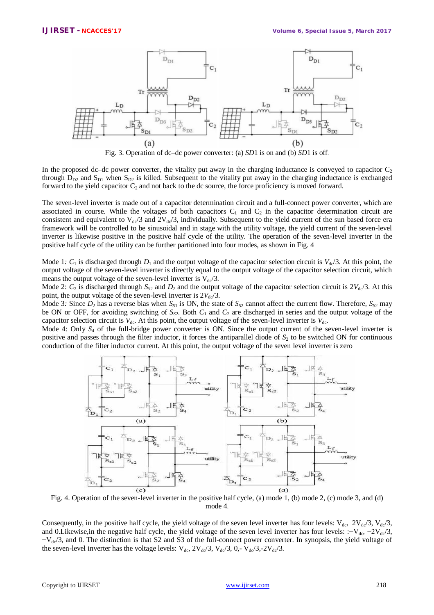

Fig. 3. Operation of dc–dc power converter: (a) *SD*1 is on and (b) *SD*1 is off.

In the proposed dc–dc power converter, the vitality put away in the charging inductance is conveyed to capacitor  $C_2$ through  $D_{D2}$  and  $S_{D1}$  when  $S_{D2}$  is killed. Subsequent to the vitality put away in the charging inductance is exchanged forward to the yield capacitor  $C_2$  and not back to the dc source, the force proficiency is moved forward.

The seven-level inverter is made out of a capacitor determination circuit and a full-connect power converter, which are associated in course. While the voltages of both capacitors  $C_1$  and  $C_2$  in the capacitor determination circuit are consistent and equivalent to  $V_{dc}/3$  and  $2V_{dc}/3$ , individually. Subsequent to the yield current of the sun based force era framework will be controlled to be sinusoidal and in stage with the utility voltage, the yield current of the seven-level inverter is likewise positive in the positive half cycle of the utility. The operation of the seven-level inverter in the positive half cycle of the utility can be further partitioned into four modes, as shown in Fig. 4

Mode 1:  $C_1$  is discharged through  $D_1$  and the output voltage of the capacitor selection circuit is  $V_{\rm dc}/3$ . At this point, the output voltage of the seven-level inverter is directly equal to the output voltage of the capacitor selection circuit, which means the output voltage of the seven-level inverter is  $V_{dc}/3$ .

Mode 2:  $C_2$  is discharged through  $S_{52}$  and  $D_2$  and the output voltage of the capacitor selection circuit is  $2V_{\rm dc}/3$ . At this point, the output voltage of the seven-level inverter is  $2V_{dc}/3$ .

Mode 3: Since  $D_2$  has a reverse bias when  $S_{S1}$  is ON, the state of  $S_{S2}$  cannot affect the current flow. Therefore,  $S_{S2}$  may be ON or OFF, for avoiding switching of *S<sup>S</sup>*2. Both *C*<sup>1</sup> and *C*<sup>2</sup> are discharged in series and the output voltage of the capacitor selection circuit is  $V_{dc}$ . At this point, the output voltage of the seven-level inverter is  $V_{dc}$ .

Mode 4: Only  $S_4$  of the full-bridge power converter is ON. Since the output current of the seven-level inverter is positive and passes through the filter inductor, it forces the antiparallel diode of  $S_2$  to be switched ON for continuous conduction of the filter inductor current. At this point, the output voltage of the seven level inverter is zero



Fig. 4. Operation of the seven-level inverter in the positive half cycle, (a) mode 1, (b) mode 2, (c) mode 3, and (d) mode 4.

Consequently, in the positive half cycle, the yield voltage of the seven level inverter has four levels:  $V_{dc}$ ,  $2V_{dc}/3$ ,  $V_{dc}/3$ , and 0.Likewise,in the negative half cycle, the yield voltage of the seven level inverter has four levels: :−V<sub>dc</sub>, −2V<sub>dc</sub>/3,  $-V<sub>dc</sub>/3$ , and 0. The distinction is that S2 and S3 of the full-connect power converter. In synopsis, the yield voltage of the seven-level inverter has the voltage levels:  $V_{dc}$ ,  $2V_{dc}/3$ ,  $V_{dc}/3$ ,  $0$ ,  $V_{dc}/3$ ,  $-2V_{dc}/3$ .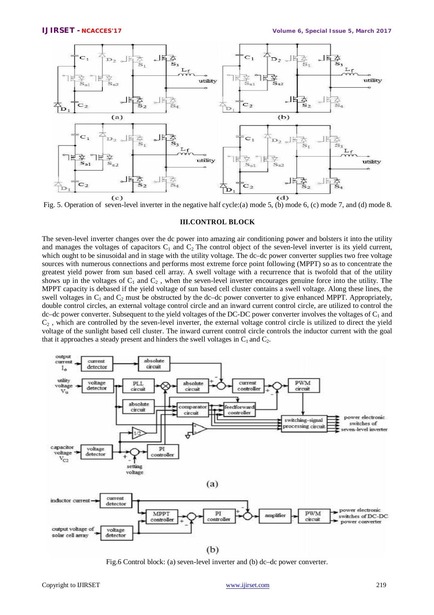

Fig. 5. Operation of seven-level inverter in the negative half cycle:(a) mode 5, (b) mode 6, (c) mode 7, and (d) mode 8.

#### **III.CONTROL BLOCK**

The seven-level inverter changes over the dc power into amazing air conditioning power and bolsters it into the utility and manages the voltages of capacitors  $C_1$  and  $C_2$  The control object of the seven-level inverter is its yield current, which ought to be sinusoidal and in stage with the utility voltage. The dc–dc power converter supplies two free voltage sources with numerous connections and performs most extreme force point following (MPPT) so as to concentrate the greatest yield power from sun based cell array. A swell voltage with a recurrence that is twofold that of the utility shows up in the voltages of  $C_1$  and  $C_2$ , when the seven-level inverter encourages genuine force into the utility. The MPPT capacity is debased if the yield voltage of sun based cell cluster contains a swell voltage. Along these lines, the swell voltages in  $C_1$  and  $C_2$  must be obstructed by the dc–dc power converter to give enhanced MPPT. Appropriately, double control circles, an external voltage control circle and an inward current control circle, are utilized to control the dc–dc power converter. Subsequent to the yield voltages of the DC-DC power converter involves the voltages of  $C_1$  and  $C_2$ , which are controlled by the seven-level inverter, the external voltage control circle is utilized to direct the yield voltage of the sunlight based cell cluster. The inward current control circle controls the inductor current with the goal that it approaches a steady present and hinders the swell voltages in  $C_1$  and  $C_2$ .



Fig.6 Control block: (a) seven-level inverter and (b) dc–dc power converter.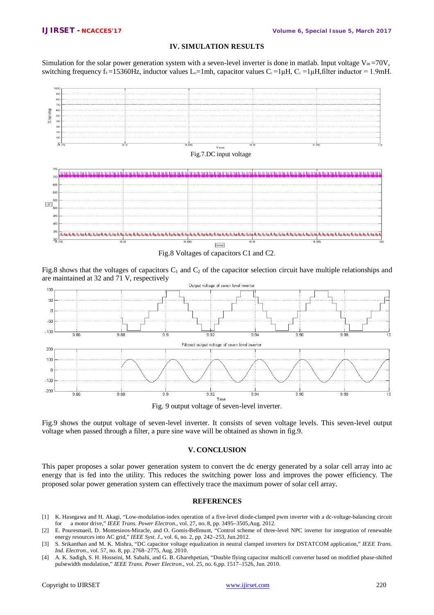# **IV. SIMULATION RESULTS**

Simulation for the solar power generation system with a seven-level inverter is done in matlab. Input voltage  $V_{in} = 70V$ , switching frequency fs =15360Hz, inductor values L<sub>p</sub>=1mh, capacitor values C<sub>1</sub> =1<sub>u</sub>H, C<sub>2</sub> =1<sub>u</sub>H,filter inductor = 1.9mH.



Fig.8 shows that the voltages of capacitors  $C_1$  and  $C_2$  of the capacitor selection circuit have multiple relationships and are maintained at 32 and 71 V, respectively



Fig. 9 output voltage of seven-level inverter.

Fig.9 shows the output voltage of seven-level inverter. It consists of seven voltage levels. This seven-level output voltage when passed through a filter, a pure sine wave will be obtained as shown in fig.9.

### **V. CONCLUSION**

This paper proposes a solar power generation system to convert the dc energy generated by a solar cell array into ac energy that is fed into the utility. This reduces the switching power loss and improves the power efficiency. The proposed solar power generation system can effectively trace the maximum power of solar cell array.

## **REFERENCES**

- [1] K. Hasegawa and H. Akagi, "Low-modulation-index operation of a five-level diode-clamped pwm inverter with a dc-voltage-balancing circuit for a motor drive," *IEEE Trans. Power Electron.*, vol. 27, no. 8, pp. 3495–3505,Aug. 2012.
- [2] E. Pouresmaeil, D. Montesinos-Miracle, and O. Gomis-Bellmunt, "Control scheme of three-level NPC inverter for integration of renewable energy resources into AC grid," *IEEE Syst. J.*, vol. 6, no. 2, pp. 242–253, Jun.2012.
- [3] S. Srikanthan and M. K. Mishra, "DC capacitor voltage equalization in neutral clamped inverters for DSTATCOM application," *IEEE Trans. Ind. Electron.*, vol. 57, no. 8, pp. 2768–2775, Aug. 2010.
- [4] A. K. Sadigh, S. H. Hosseini, M. Sabahi, and G. B. Gharehpetian, "Double flying capacitor multicell converter based on modified phase-shifted pulsewidth modulation," *IEEE Trans. Power Electron.*, vol. 25, no. 6,pp. 1517–1526, Jun. 2010.